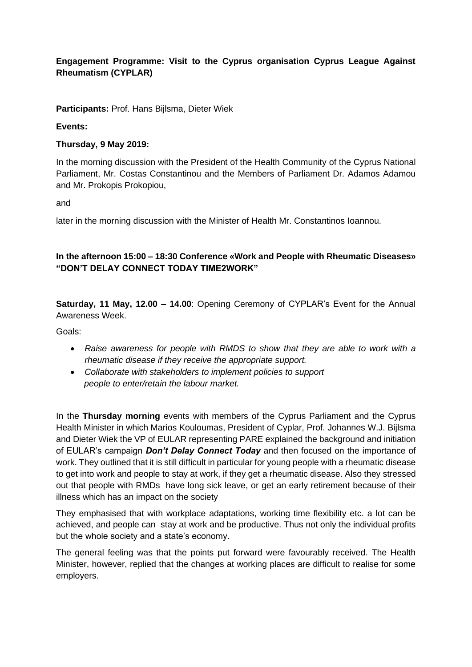## **Engagement Programme: Visit to the Cyprus organisation Cyprus League Against Rheumatism (CYPLAR)**

**Participants:** Prof. Hans Bijlsma, Dieter Wiek

## **Events:**

## **Thursday, 9 May 2019:**

In the morning discussion with the President of the Health Community of the Cyprus National Parliament, Mr. Costas Constantinou and the Members of Parliament Dr. Adamos Adamou and Mr. Prokopis Prokopiou,

and

later in the morning discussion with the Minister of Health Mr. Constantinos Ioannou.

## **In the afternoon 15:00 – 18:30 Conference «Work and People with Rheumatic Diseases» "DON'T DELAY CONNECT TODAY TIME2WORK"**

**Saturday, 11 May, 12.00 – 14.00**: Opening Ceremony of CYPLAR's Event for the Annual Awareness Week.

Goals:

- *Raise awareness for people with RMDS to show that they are able to work with a rheumatic disease if they receive the appropriate support.*
- *Collaborate with stakeholders to implement policies to support people to enter/retain the labour market.*

In the **Thursday morning** events with members of the Cyprus Parliament and the Cyprus Health Minister in which Marios Kouloumas, President of Cyplar, Prof. Johannes W.J. Bijlsma and Dieter Wiek the VP of EULAR representing PARE explained the background and initiation of EULAR's campaign *Don't Delay Connect Today* and then focused on the importance of work. They outlined that it is still difficult in particular for young people with a rheumatic disease to get into work and people to stay at work, if they get a rheumatic disease. Also they stressed out that people with RMDs have long sick leave, or get an early retirement because of their illness which has an impact on the society

They emphasised that with workplace adaptations, working time flexibility etc. a lot can be achieved, and people can stay at work and be productive. Thus not only the individual profits but the whole society and a state's economy.

The general feeling was that the points put forward were favourably received. The Health Minister, however, replied that the changes at working places are difficult to realise for some employers.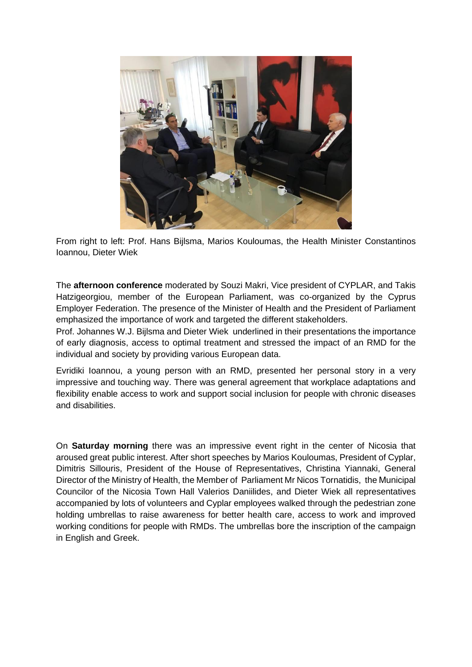

From right to left: Prof. Hans Bijlsma, Marios Kouloumas, the Health Minister Constantinos Ioannou, Dieter Wiek

The **afternoon conference** moderated by Souzi Makri, Vice president of CYPLAR, and Takis Hatzigeorgiou, member of the European Parliament, was co-organized by the Cyprus Employer Federation. The presence of the Minister of Health and the President of Parliament emphasized the importance of work and targeted the different stakeholders.

Prof. Johannes W.J. Bijlsma and Dieter Wiek underlined in their presentations the importance of early diagnosis, access to optimal treatment and stressed the impact of an RMD for the individual and society by providing various European data.

Evridiki Ioannou, a young person with an RMD, presented her personal story in a very impressive and touching way. There was general agreement that workplace adaptations and flexibility enable access to work and support social inclusion for people with chronic diseases and disabilities.

On **Saturday morning** there was an impressive event right in the center of Nicosia that aroused great public interest. After short speeches by Marios Kouloumas, President of Cyplar, Dimitris Sillouris, President of the House of Representatives, Christina Yiannaki, General Director of the Ministry of Health, the Member of Parliament Mr Nicos Tornatidis, the Μunicipal Councilor of the Nicosia Town Hall Valerios Daniilides, and Dieter Wiek all representatives accompanied by lots of volunteers and Cyplar employees walked through the pedestrian zone holding umbrellas to raise awareness for better health care, access to work and improved working conditions for people with RMDs. The umbrellas bore the inscription of the campaign in English and Greek.